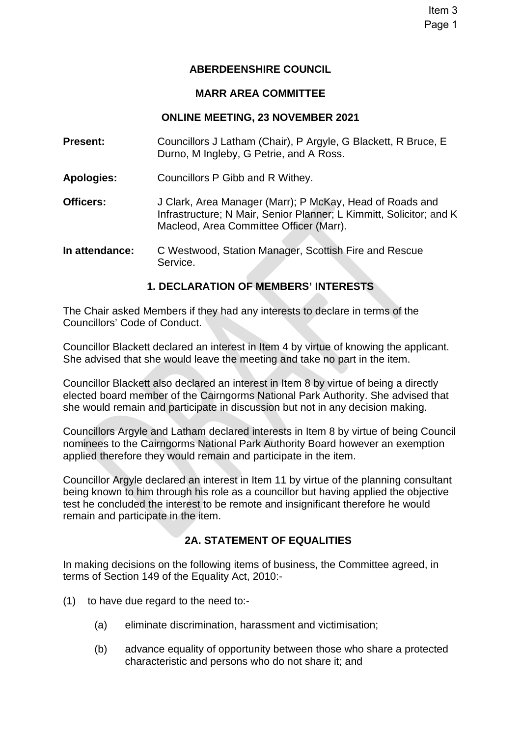Item 3 Page 1

### **ABERDEENSHIRE COUNCIL**

#### **MARR AREA COMMITTEE**

### **ONLINE MEETING, 23 NOVEMBER 2021**

- **Present:** Councillors J Latham (Chair), P Argyle, G Blackett, R Bruce, E Durno, M Ingleby, G Petrie, and A Ross.
- **Apologies:** Councillors P Gibb and R Withey.
- **Officers:** J Clark, Area Manager (Marr); P McKay, Head of Roads and Infrastructure; N Mair, Senior Planner; L Kimmitt, Solicitor; and K Macleod, Area Committee Officer (Marr).
- **In attendance:** C Westwood, Station Manager, Scottish Fire and Rescue Service.

# **1. DECLARATION OF MEMBERS' INTERESTS**

The Chair asked Members if they had any interests to declare in terms of the Councillors' Code of Conduct.

Councillor Blackett declared an interest in Item 4 by virtue of knowing the applicant. She advised that she would leave the meeting and take no part in the item.

Councillor Blackett also declared an interest in Item 8 by virtue of being a directly elected board member of the Cairngorms National Park Authority. She advised that she would remain and participate in discussion but not in any decision making.

Councillors Argyle and Latham declared interests in Item 8 by virtue of being Council nominees to the Cairngorms National Park Authority Board however an exemption applied therefore they would remain and participate in the item.

Councillor Argyle declared an interest in Item 11 by virtue of the planning consultant being known to him through his role as a councillor but having applied the objective test he concluded the interest to be remote and insignificant therefore he would remain and participate in the item.

# **2A. STATEMENT OF EQUALITIES**

In making decisions on the following items of business, the Committee agreed, in terms of Section 149 of the Equality Act, 2010:-

- (1) to have due regard to the need to:-
	- (a) eliminate discrimination, harassment and victimisation;
	- (b) advance equality of opportunity between those who share a protected characteristic and persons who do not share it; and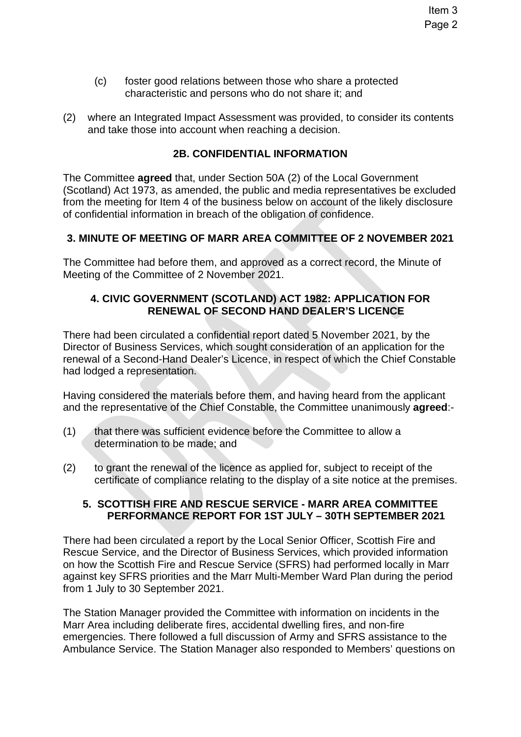- (c) foster good relations between those who share a protected characteristic and persons who do not share it; and
- (2) where an Integrated Impact Assessment was provided, to consider its contents and take those into account when reaching a decision.

### **2B. CONFIDENTIAL INFORMATION**

The Committee **agreed** that, under Section 50A (2) of the Local Government (Scotland) Act 1973, as amended, the public and media representatives be excluded from the meeting for Item 4 of the business below on account of the likely disclosure of confidential information in breach of the obligation of confidence.

### **3. MINUTE OF MEETING OF MARR AREA COMMITTEE OF 2 NOVEMBER 2021**

The Committee had before them, and approved as a correct record, the Minute of Meeting of the Committee of 2 November 2021.

# **4. CIVIC GOVERNMENT (SCOTLAND) ACT 1982: APPLICATION FOR RENEWAL OF SECOND HAND DEALER'S LICENCE**

There had been circulated a confidential report dated 5 November 2021, by the Director of Business Services, which sought consideration of an application for the renewal of a Second-Hand Dealer's Licence, in respect of which the Chief Constable had lodged a representation.

Having considered the materials before them, and having heard from the applicant and the representative of the Chief Constable, the Committee unanimously **agreed**:-

- (1) that there was sufficient evidence before the Committee to allow a determination to be made; and
- (2) to grant the renewal of the licence as applied for, subject to receipt of the certificate of compliance relating to the display of a site notice at the premises.

### **5. SCOTTISH FIRE AND RESCUE SERVICE - MARR AREA COMMITTEE PERFORMANCE REPORT FOR 1ST JULY – 30TH SEPTEMBER 2021**

There had been circulated a report by the Local Senior Officer, Scottish Fire and Rescue Service, and the Director of Business Services, which provided information on how the Scottish Fire and Rescue Service (SFRS) had performed locally in Marr against key SFRS priorities and the Marr Multi-Member Ward Plan during the period from 1 July to 30 September 2021.

The Station Manager provided the Committee with information on incidents in the Marr Area including deliberate fires, accidental dwelling fires, and non-fire emergencies. There followed a full discussion of Army and SFRS assistance to the Ambulance Service. The Station Manager also responded to Members' questions on

Item 3 Page 2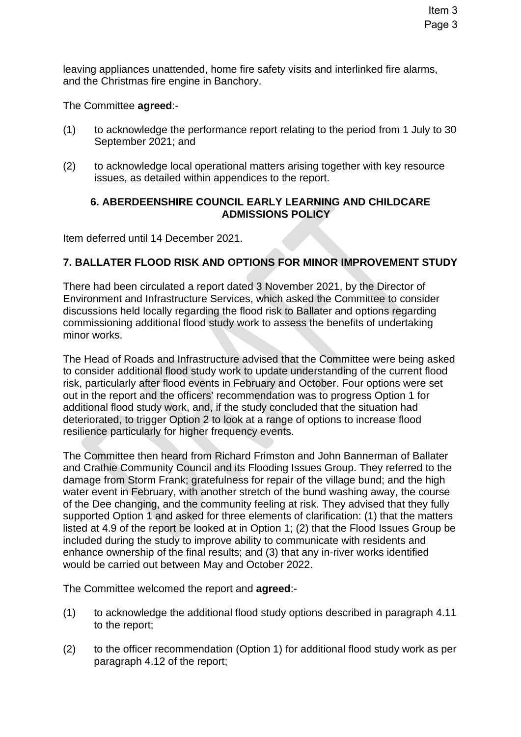leaving appliances unattended, home fire safety visits and interlinked fire alarms, and the Christmas fire engine in Banchory.

The Committee **agreed**:-

- (1) to acknowledge the performance report relating to the period from 1 July to 30 September 2021; and
- (2) to acknowledge local operational matters arising together with key resource issues, as detailed within appendices to the report.

# **6. ABERDEENSHIRE COUNCIL EARLY LEARNING AND CHILDCARE ADMISSIONS POLICY**

Item deferred until 14 December 2021.

# **7. BALLATER FLOOD RISK AND OPTIONS FOR MINOR IMPROVEMENT STUDY**

There had been circulated a report dated 3 November 2021, by the Director of Environment and Infrastructure Services, which asked the Committee to consider discussions held locally regarding the flood risk to Ballater and options regarding commissioning additional flood study work to assess the benefits of undertaking minor works.

The Head of Roads and Infrastructure advised that the Committee were being asked to consider additional flood study work to update understanding of the current flood risk, particularly after flood events in February and October. Four options were set out in the report and the officers' recommendation was to progress Option 1 for additional flood study work, and, if the study concluded that the situation had deteriorated, to trigger Option 2 to look at a range of options to increase flood resilience particularly for higher frequency events.

The Committee then heard from Richard Frimston and John Bannerman of Ballater and Crathie Community Council and its Flooding Issues Group. They referred to the damage from Storm Frank; gratefulness for repair of the village bund; and the high water event in February, with another stretch of the bund washing away, the course of the Dee changing, and the community feeling at risk. They advised that they fully supported Option 1 and asked for three elements of clarification: (1) that the matters listed at 4.9 of the report be looked at in Option 1; (2) that the Flood Issues Group be included during the study to improve ability to communicate with residents and enhance ownership of the final results; and (3) that any in-river works identified would be carried out between May and October 2022.

The Committee welcomed the report and **agreed**:-

- (1) to acknowledge the additional flood study options described in paragraph 4.11 to the report;
- (2) to the officer recommendation (Option 1) for additional flood study work as per paragraph 4.12 of the report;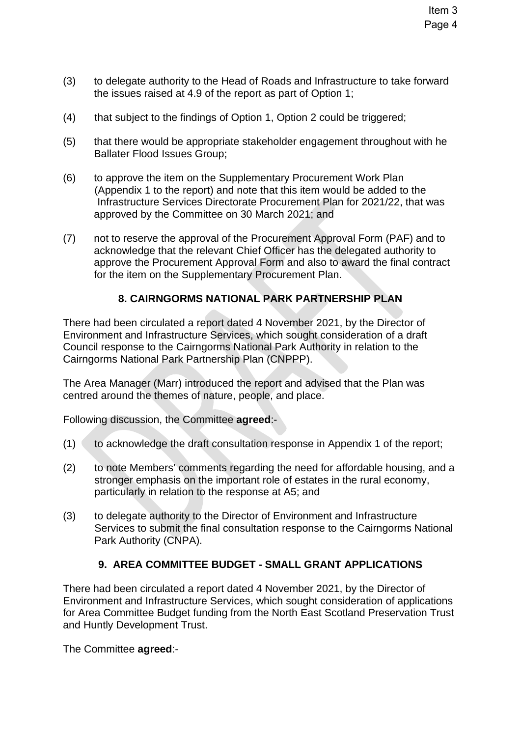- (3) to delegate authority to the Head of Roads and Infrastructure to take forward the issues raised at 4.9 of the report as part of Option 1;
- (4) that subject to the findings of Option 1, Option 2 could be triggered;
- (5) that there would be appropriate stakeholder engagement throughout with he Ballater Flood Issues Group;
- (6) to approve the item on the Supplementary Procurement Work Plan (Appendix 1 to the report) and note that this item would be added to the Infrastructure Services Directorate Procurement Plan for 2021/22, that was approved by the Committee on 30 March 2021; and
- (7) not to reserve the approval of the Procurement Approval Form (PAF) and to acknowledge that the relevant Chief Officer has the delegated authority to approve the Procurement Approval Form and also to award the final contract for the item on the Supplementary Procurement Plan.

# **8. CAIRNGORMS NATIONAL PARK PARTNERSHIP PLAN**

There had been circulated a report dated 4 November 2021, by the Director of Environment and Infrastructure Services, which sought consideration of a draft Council response to the Cairngorms National Park Authority in relation to the Cairngorms National Park Partnership Plan (CNPPP).

The Area Manager (Marr) introduced the report and advised that the Plan was centred around the themes of nature, people, and place.

Following discussion, the Committee **agreed**:-

- (1) to acknowledge the draft consultation response in Appendix 1 of the report;
- (2) to note Members' comments regarding the need for affordable housing, and a stronger emphasis on the important role of estates in the rural economy, particularly in relation to the response at A5; and
- (3) to delegate authority to the Director of Environment and Infrastructure Services to submit the final consultation response to the Cairngorms National Park Authority (CNPA).

# **9. AREA COMMITTEE BUDGET - SMALL GRANT APPLICATIONS**

There had been circulated a report dated 4 November 2021, by the Director of Environment and Infrastructure Services, which sought consideration of applications for Area Committee Budget funding from the North East Scotland Preservation Trust and Huntly Development Trust.

The Committee **agreed**:-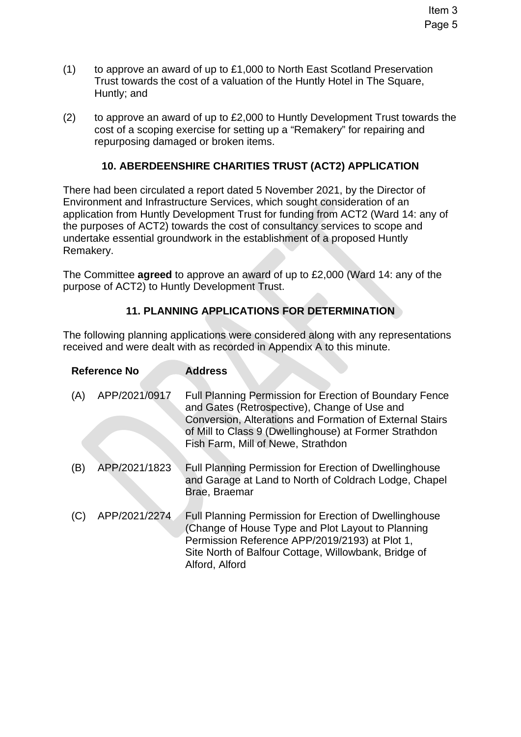- (1) to approve an award of up to £1,000 to North East Scotland Preservation Trust towards the cost of a valuation of the Huntly Hotel in The Square, Huntly; and
- (2) to approve an award of up to £2,000 to Huntly Development Trust towards the cost of a scoping exercise for setting up a "Remakery" for repairing and repurposing damaged or broken items.

# **10. ABERDEENSHIRE CHARITIES TRUST (ACT2) APPLICATION**

There had been circulated a report dated 5 November 2021, by the Director of Environment and Infrastructure Services, which sought consideration of an application from Huntly Development Trust for funding from ACT2 (Ward 14: any of the purposes of ACT2) towards the cost of consultancy services to scope and undertake essential groundwork in the establishment of a proposed Huntly Remakery.

The Committee **agreed** to approve an award of up to £2,000 (Ward 14: any of the purpose of ACT2) to Huntly Development Trust.

# **11. PLANNING APPLICATIONS FOR DETERMINATION**

The following planning applications were considered along with any representations received and were dealt with as recorded in Appendix A to this minute.

| <b>Reference No</b> |               | <b>Address</b>                                                                                                                                                                                                                                                      |
|---------------------|---------------|---------------------------------------------------------------------------------------------------------------------------------------------------------------------------------------------------------------------------------------------------------------------|
| (A)                 | APP/2021/0917 | Full Planning Permission for Erection of Boundary Fence<br>and Gates (Retrospective), Change of Use and<br>Conversion, Alterations and Formation of External Stairs<br>of Mill to Class 9 (Dwellinghouse) at Former Strathdon<br>Fish Farm, Mill of Newe, Strathdon |
| (B)                 | APP/2021/1823 | Full Planning Permission for Erection of Dwellinghouse<br>and Garage at Land to North of Coldrach Lodge, Chapel<br>Brae, Braemar                                                                                                                                    |
|                     | APP/2021/2274 | <b>Full Planning Permission for Erection of Dwellinghouse</b><br>(Change of House Type and Plot Layout to Planning<br>Permission Reference APP/2019/2193) at Plot 1,<br>Site North of Balfour Cottage, Willowbank, Bridge of<br>Alford, Alford                      |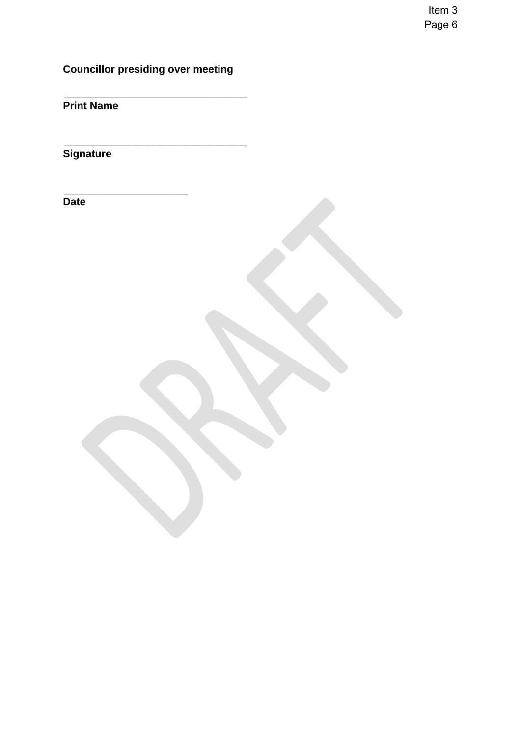Item 3 Page 6

**Councillor presiding over meeting** 

 **\_\_\_\_\_\_\_\_\_\_\_\_\_\_\_\_\_\_\_\_\_\_\_\_\_\_\_\_\_\_\_** 

 **\_\_\_\_\_\_\_\_\_\_\_\_\_\_\_\_\_\_\_\_\_\_\_\_\_\_\_\_\_\_\_** 

 **\_\_\_\_\_\_\_\_\_\_\_\_\_\_\_\_\_\_\_\_\_** 

**Print Name** 

**Signature** 

**Date**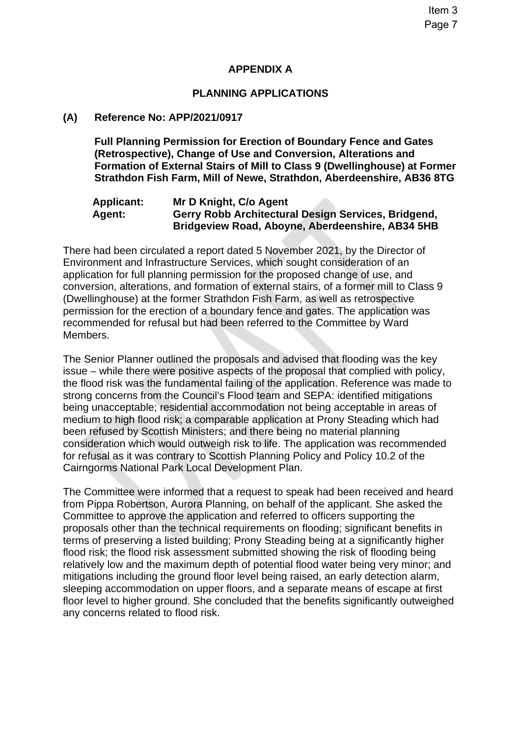# **APPENDIX A**

# **PLANNING APPLICATIONS**

### **(A) Reference No: APP/2021/0917**

**Full Planning Permission for Erection of Boundary Fence and Gates (Retrospective), Change of Use and Conversion, Alterations and Formation of External Stairs of Mill to Class 9 (Dwellinghouse) at Former Strathdon Fish Farm, Mill of Newe, Strathdon, Aberdeenshire, AB36 8TG** 

### **Applicant: Mr D Knight, C/o Agent Agent: Gerry Robb Architectural Design Services, Bridgend, Bridgeview Road, Aboyne, Aberdeenshire, AB34 5HB**

There had been circulated a report dated 5 November 2021, by the Director of Environment and Infrastructure Services, which sought consideration of an application for full planning permission for the proposed change of use, and conversion, alterations, and formation of external stairs, of a former mill to Class 9 (Dwellinghouse) at the former Strathdon Fish Farm, as well as retrospective permission for the erection of a boundary fence and gates. The application was recommended for refusal but had been referred to the Committee by Ward Members.

The Senior Planner outlined the proposals and advised that flooding was the key issue – while there were positive aspects of the proposal that complied with policy, the flood risk was the fundamental failing of the application. Reference was made to strong concerns from the Council's Flood team and SEPA: identified mitigations being unacceptable; residential accommodation not being acceptable in areas of medium to high flood risk; a comparable application at Prony Steading which had been refused by Scottish Ministers; and there being no material planning consideration which would outweigh risk to life. The application was recommended for refusal as it was contrary to Scottish Planning Policy and Policy 10.2 of the Cairngorms National Park Local Development Plan.

The Committee were informed that a request to speak had been received and heard from Pippa Robertson, Aurora Planning, on behalf of the applicant. She asked the Committee to approve the application and referred to officers supporting the proposals other than the technical requirements on flooding; significant benefits in terms of preserving a listed building; Prony Steading being at a significantly higher flood risk; the flood risk assessment submitted showing the risk of flooding being relatively low and the maximum depth of potential flood water being very minor; and mitigations including the ground floor level being raised, an early detection alarm, sleeping accommodation on upper floors, and a separate means of escape at first floor level to higher ground. She concluded that the benefits significantly outweighed any concerns related to flood risk.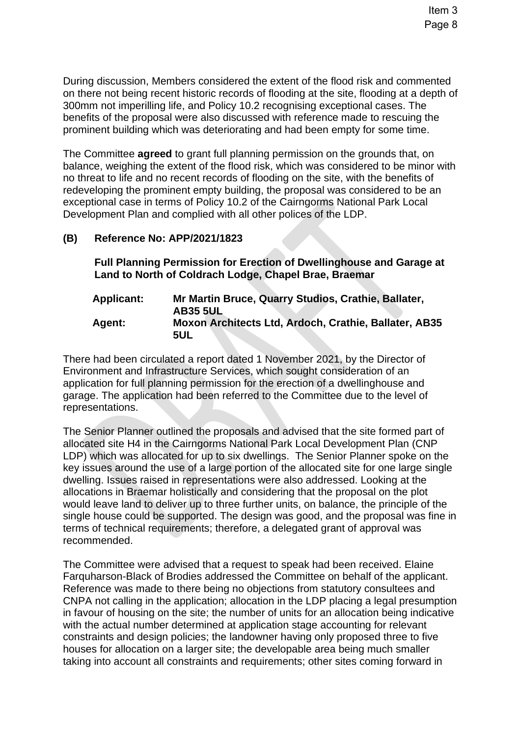Item 3 Page 8

During discussion, Members considered the extent of the flood risk and commented on there not being recent historic records of flooding at the site, flooding at a depth of 300mm not imperilling life, and Policy 10.2 recognising exceptional cases. The benefits of the proposal were also discussed with reference made to rescuing the prominent building which was deteriorating and had been empty for some time.

The Committee **agreed** to grant full planning permission on the grounds that, on balance, weighing the extent of the flood risk, which was considered to be minor with no threat to life and no recent records of flooding on the site, with the benefits of redeveloping the prominent empty building, the proposal was considered to be an exceptional case in terms of Policy 10.2 of the Cairngorms National Park Local Development Plan and complied with all other polices of the LDP.

# **(B) Reference No: APP/2021/1823**

**Full Planning Permission for Erection of Dwellinghouse and Garage at Land to North of Coldrach Lodge, Chapel Brae, Braemar** 

**Applicant: Mr Martin Bruce, Quarry Studios, Crathie, Ballater, AB35 5UL Agent: Moxon Architects Ltd, Ardoch, Crathie, Ballater, AB35 5UL** 

There had been circulated a report dated 1 November 2021, by the Director of Environment and Infrastructure Services, which sought consideration of an application for full planning permission for the erection of a dwellinghouse and garage. The application had been referred to the Committee due to the level of representations.

The Senior Planner outlined the proposals and advised that the site formed part of allocated site H4 in the Cairngorms National Park Local Development Plan (CNP LDP) which was allocated for up to six dwellings. The Senior Planner spoke on the key issues around the use of a large portion of the allocated site for one large single dwelling. Issues raised in representations were also addressed. Looking at the allocations in Braemar holistically and considering that the proposal on the plot would leave land to deliver up to three further units, on balance, the principle of the single house could be supported. The design was good, and the proposal was fine in terms of technical requirements; therefore, a delegated grant of approval was recommended.

The Committee were advised that a request to speak had been received. Elaine Farquharson-Black of Brodies addressed the Committee on behalf of the applicant. Reference was made to there being no objections from statutory consultees and CNPA not calling in the application; allocation in the LDP placing a legal presumption in favour of housing on the site; the number of units for an allocation being indicative with the actual number determined at application stage accounting for relevant constraints and design policies; the landowner having only proposed three to five houses for allocation on a larger site; the developable area being much smaller taking into account all constraints and requirements; other sites coming forward in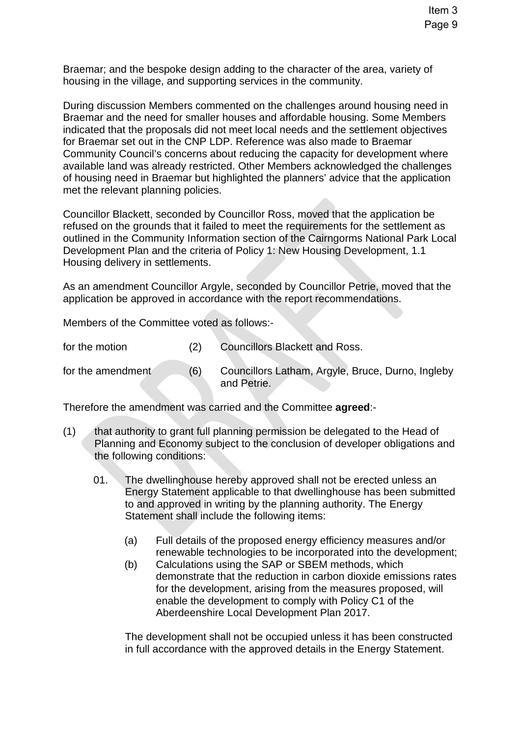Braemar; and the bespoke design adding to the character of the area, variety of housing in the village, and supporting services in the community.

During discussion Members commented on the challenges around housing need in Braemar and the need for smaller houses and affordable housing. Some Members indicated that the proposals did not meet local needs and the settlement objectives for Braemar set out in the CNP LDP. Reference was also made to Braemar Community Council's concerns about reducing the capacity for development where available land was already restricted. Other Members acknowledged the challenges of housing need in Braemar but highlighted the planners' advice that the application met the relevant planning policies.

Councillor Blackett, seconded by Councillor Ross, moved that the application be refused on the grounds that it failed to meet the requirements for the settlement as outlined in the Community Information section of the Cairngorms National Park Local Development Plan and the criteria of Policy 1: New Housing Development, 1.1 Housing delivery in settlements.

As an amendment Councillor Argyle, seconded by Councillor Petrie, moved that the application be approved in accordance with the report recommendations.

Members of the Committee voted as follows:-

| for the motion |  | <b>Councillors Blackett and Ross.</b> |
|----------------|--|---------------------------------------|
|----------------|--|---------------------------------------|

for the amendment (6) Councillors Latham, Argyle, Bruce, Durno, Ingleby and Petrie.

Therefore the amendment was carried and the Committee **agreed**:-

- (1) that authority to grant full planning permission be delegated to the Head of Planning and Economy subject to the conclusion of developer obligations and the following conditions:
	- 01. The dwellinghouse hereby approved shall not be erected unless an Energy Statement applicable to that dwellinghouse has been submitted to and approved in writing by the planning authority. The Energy Statement shall include the following items:
		- (a) Full details of the proposed energy efficiency measures and/or renewable technologies to be incorporated into the development;
		- (b) Calculations using the SAP or SBEM methods, which demonstrate that the reduction in carbon dioxide emissions rates for the development, arising from the measures proposed, will enable the development to comply with Policy C1 of the Aberdeenshire Local Development Plan 2017.

The development shall not be occupied unless it has been constructed in full accordance with the approved details in the Energy Statement.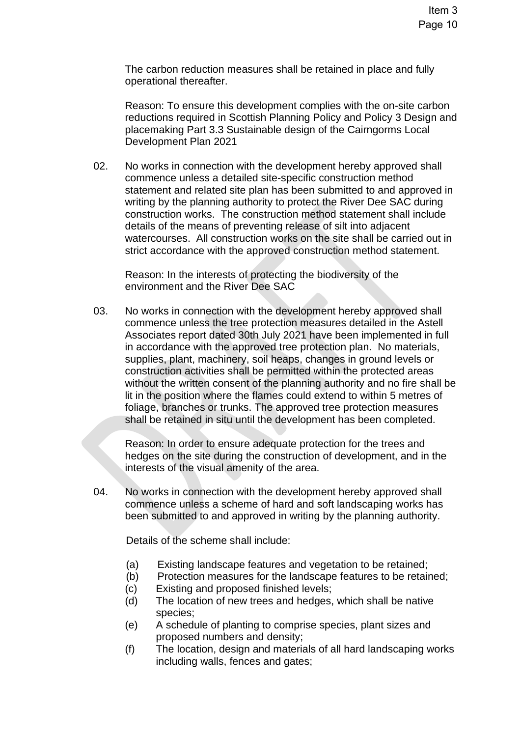The carbon reduction measures shall be retained in place and fully operational thereafter.

Reason: To ensure this development complies with the on-site carbon reductions required in Scottish Planning Policy and Policy 3 Design and placemaking Part 3.3 Sustainable design of the Cairngorms Local Development Plan 2021

02. No works in connection with the development hereby approved shall commence unless a detailed site-specific construction method statement and related site plan has been submitted to and approved in writing by the planning authority to protect the River Dee SAC during construction works. The construction method statement shall include details of the means of preventing release of silt into adjacent watercourses. All construction works on the site shall be carried out in strict accordance with the approved construction method statement.

Reason: In the interests of protecting the biodiversity of the environment and the River Dee SAC

03. No works in connection with the development hereby approved shall commence unless the tree protection measures detailed in the Astell Associates report dated 30th July 2021 have been implemented in full in accordance with the approved tree protection plan. No materials, supplies, plant, machinery, soil heaps, changes in ground levels or construction activities shall be permitted within the protected areas without the written consent of the planning authority and no fire shall be lit in the position where the flames could extend to within 5 metres of foliage, branches or trunks. The approved tree protection measures shall be retained in situ until the development has been completed.

Reason: In order to ensure adequate protection for the trees and hedges on the site during the construction of development, and in the interests of the visual amenity of the area.

04. No works in connection with the development hereby approved shall commence unless a scheme of hard and soft landscaping works has been submitted to and approved in writing by the planning authority.

Details of the scheme shall include:

- (a) Existing landscape features and vegetation to be retained;
- (b) Protection measures for the landscape features to be retained;
- (c) Existing and proposed finished levels;
- (d) The location of new trees and hedges, which shall be native species;
- (e) A schedule of planting to comprise species, plant sizes and proposed numbers and density;
- (f) The location, design and materials of all hard landscaping works including walls, fences and gates;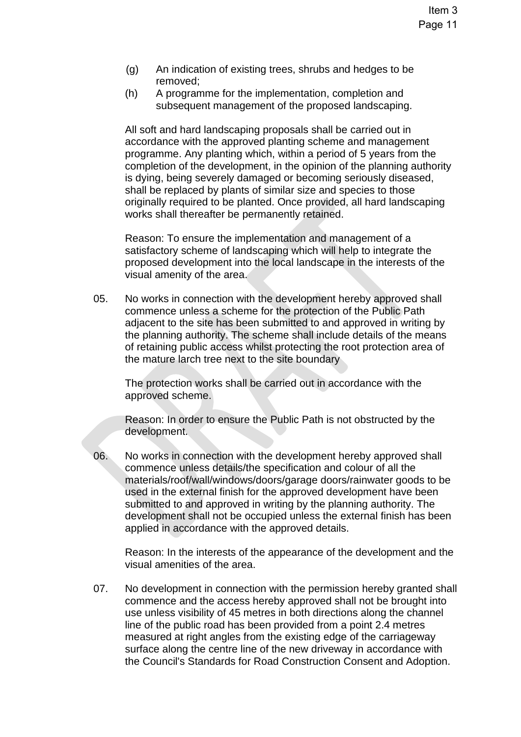- (g) An indication of existing trees, shrubs and hedges to be removed;
- (h) A programme for the implementation, completion and subsequent management of the proposed landscaping.

All soft and hard landscaping proposals shall be carried out in accordance with the approved planting scheme and management programme. Any planting which, within a period of 5 years from the completion of the development, in the opinion of the planning authority is dying, being severely damaged or becoming seriously diseased, shall be replaced by plants of similar size and species to those originally required to be planted. Once provided, all hard landscaping works shall thereafter be permanently retained.

Reason: To ensure the implementation and management of a satisfactory scheme of landscaping which will help to integrate the proposed development into the local landscape in the interests of the visual amenity of the area.

05. No works in connection with the development hereby approved shall commence unless a scheme for the protection of the Public Path adjacent to the site has been submitted to and approved in writing by the planning authority. The scheme shall include details of the means of retaining public access whilst protecting the root protection area of the mature larch tree next to the site boundary

The protection works shall be carried out in accordance with the approved scheme.

Reason: In order to ensure the Public Path is not obstructed by the development.

06. No works in connection with the development hereby approved shall commence unless details/the specification and colour of all the materials/roof/wall/windows/doors/garage doors/rainwater goods to be used in the external finish for the approved development have been submitted to and approved in writing by the planning authority. The development shall not be occupied unless the external finish has been applied in accordance with the approved details.

Reason: In the interests of the appearance of the development and the visual amenities of the area.

07. No development in connection with the permission hereby granted shall commence and the access hereby approved shall not be brought into use unless visibility of 45 metres in both directions along the channel line of the public road has been provided from a point 2.4 metres measured at right angles from the existing edge of the carriageway surface along the centre line of the new driveway in accordance with the Council's Standards for Road Construction Consent and Adoption.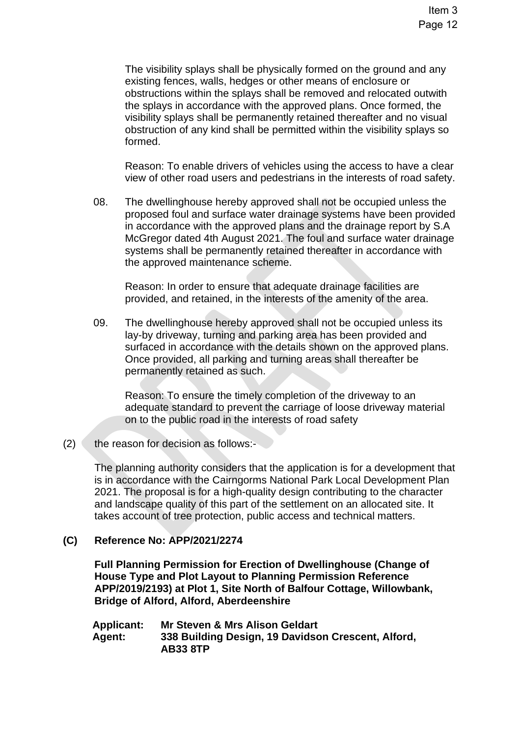The visibility splays shall be physically formed on the ground and any existing fences, walls, hedges or other means of enclosure or obstructions within the splays shall be removed and relocated outwith the splays in accordance with the approved plans. Once formed, the visibility splays shall be permanently retained thereafter and no visual obstruction of any kind shall be permitted within the visibility splays so formed.

Reason: To enable drivers of vehicles using the access to have a clear view of other road users and pedestrians in the interests of road safety.

08. The dwellinghouse hereby approved shall not be occupied unless the proposed foul and surface water drainage systems have been provided in accordance with the approved plans and the drainage report by S.A McGregor dated 4th August 2021. The foul and surface water drainage systems shall be permanently retained thereafter in accordance with the approved maintenance scheme.

Reason: In order to ensure that adequate drainage facilities are provided, and retained, in the interests of the amenity of the area.

09. The dwellinghouse hereby approved shall not be occupied unless its lay-by driveway, turning and parking area has been provided and surfaced in accordance with the details shown on the approved plans. Once provided, all parking and turning areas shall thereafter be permanently retained as such.

Reason: To ensure the timely completion of the driveway to an adequate standard to prevent the carriage of loose driveway material on to the public road in the interests of road safety

 $(2)$  the reason for decision as follows:-

The planning authority considers that the application is for a development that is in accordance with the Cairngorms National Park Local Development Plan 2021. The proposal is for a high-quality design contributing to the character and landscape quality of this part of the settlement on an allocated site. It takes account of tree protection, public access and technical matters.

# **(C) Reference No: APP/2021/2274**

**Full Planning Permission for Erection of Dwellinghouse (Change of House Type and Plot Layout to Planning Permission Reference APP/2019/2193) at Plot 1, Site North of Balfour Cottage, Willowbank, Bridge of Alford, Alford, Aberdeenshire** 

| <b>Applicant:</b> | Mr Steven & Mrs Alison Geldart                     |
|-------------------|----------------------------------------------------|
| Agent:            | 338 Building Design, 19 Davidson Crescent, Alford, |
|                   | <b>AB33 8TP</b>                                    |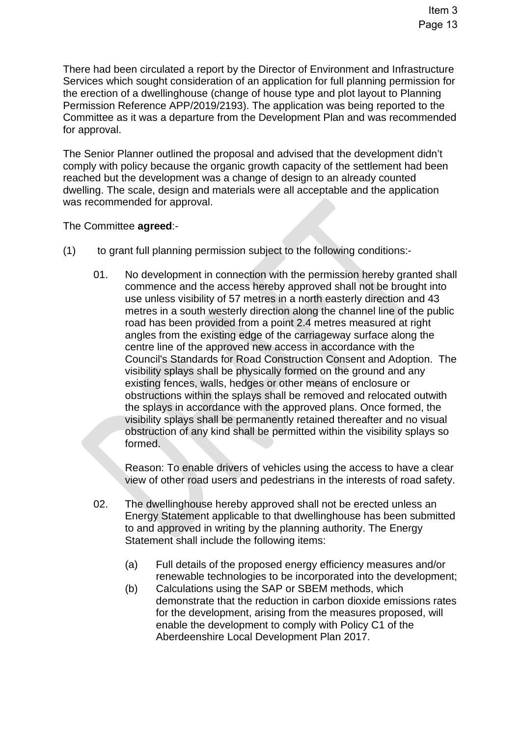There had been circulated a report by the Director of Environment and Infrastructure Services which sought consideration of an application for full planning permission for the erection of a dwellinghouse (change of house type and plot layout to Planning Permission Reference APP/2019/2193). The application was being reported to the Committee as it was a departure from the Development Plan and was recommended for approval.

The Senior Planner outlined the proposal and advised that the development didn't comply with policy because the organic growth capacity of the settlement had been reached but the development was a change of design to an already counted dwelling. The scale, design and materials were all acceptable and the application was recommended for approval.

The Committee **agreed**:-

- (1) to grant full planning permission subject to the following conditions:-
	- 01. No development in connection with the permission hereby granted shall commence and the access hereby approved shall not be brought into use unless visibility of 57 metres in a north easterly direction and 43 metres in a south westerly direction along the channel line of the public road has been provided from a point 2.4 metres measured at right angles from the existing edge of the carriageway surface along the centre line of the approved new access in accordance with the Council's Standards for Road Construction Consent and Adoption. The visibility splays shall be physically formed on the ground and any existing fences, walls, hedges or other means of enclosure or obstructions within the splays shall be removed and relocated outwith the splays in accordance with the approved plans. Once formed, the visibility splays shall be permanently retained thereafter and no visual obstruction of any kind shall be permitted within the visibility splays so formed.

Reason: To enable drivers of vehicles using the access to have a clear view of other road users and pedestrians in the interests of road safety.

- 02. The dwellinghouse hereby approved shall not be erected unless an Energy Statement applicable to that dwellinghouse has been submitted to and approved in writing by the planning authority. The Energy Statement shall include the following items:
	- (a) Full details of the proposed energy efficiency measures and/or renewable technologies to be incorporated into the development;
	- (b) Calculations using the SAP or SBEM methods, which demonstrate that the reduction in carbon dioxide emissions rates for the development, arising from the measures proposed, will enable the development to comply with Policy C1 of the Aberdeenshire Local Development Plan 2017.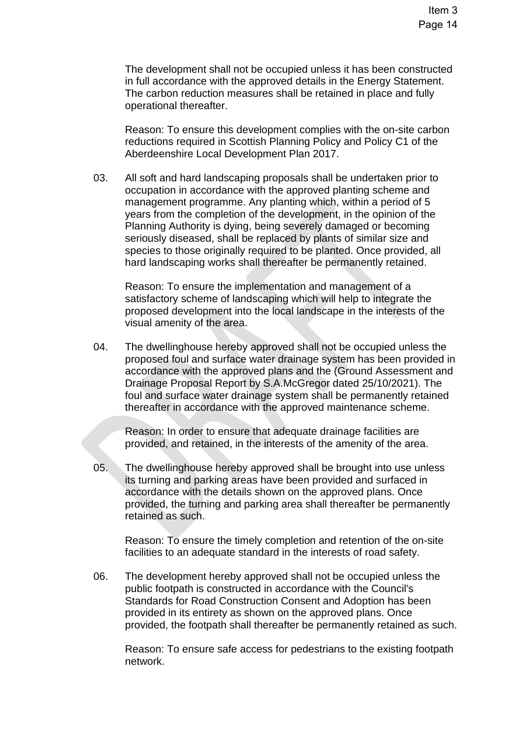The development shall not be occupied unless it has been constructed in full accordance with the approved details in the Energy Statement. The carbon reduction measures shall be retained in place and fully operational thereafter.

Reason: To ensure this development complies with the on-site carbon reductions required in Scottish Planning Policy and Policy C1 of the Aberdeenshire Local Development Plan 2017.

03. All soft and hard landscaping proposals shall be undertaken prior to occupation in accordance with the approved planting scheme and management programme. Any planting which, within a period of 5 years from the completion of the development, in the opinion of the Planning Authority is dying, being severely damaged or becoming seriously diseased, shall be replaced by plants of similar size and species to those originally required to be planted. Once provided, all hard landscaping works shall thereafter be permanently retained.

Reason: To ensure the implementation and management of a satisfactory scheme of landscaping which will help to integrate the proposed development into the local landscape in the interests of the visual amenity of the area.

04. The dwellinghouse hereby approved shall not be occupied unless the proposed foul and surface water drainage system has been provided in accordance with the approved plans and the (Ground Assessment and Drainage Proposal Report by S.A.McGregor dated 25/10/2021). The foul and surface water drainage system shall be permanently retained thereafter in accordance with the approved maintenance scheme.

Reason: In order to ensure that adequate drainage facilities are provided, and retained, in the interests of the amenity of the area.

05. The dwellinghouse hereby approved shall be brought into use unless its turning and parking areas have been provided and surfaced in accordance with the details shown on the approved plans. Once provided, the turning and parking area shall thereafter be permanently retained as such.

Reason: To ensure the timely completion and retention of the on-site facilities to an adequate standard in the interests of road safety.

06. The development hereby approved shall not be occupied unless the public footpath is constructed in accordance with the Council's Standards for Road Construction Consent and Adoption has been provided in its entirety as shown on the approved plans. Once provided, the footpath shall thereafter be permanently retained as such.

Reason: To ensure safe access for pedestrians to the existing footpath network.